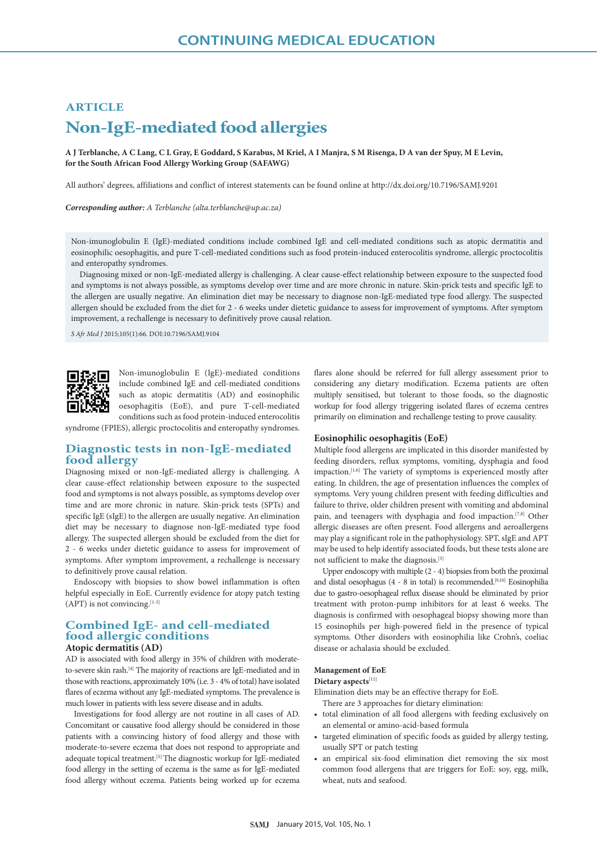# **ARTICLE Non-IgE-mediated food allergies**

**A J Terblanche, A C Lang, C L Gray, E Goddard, S Karabus, M Kriel, A I Manjra, S M Risenga, D A van der Spuy, M E Levin, for the South African Food Allergy Working Group (SAFAWG)**

All authors' degrees, affiliations and conflict of interest statements can be found online at http://dx.doi.org/10.7196/SAMJ.9201

*Corresponding author: A Terblanche (alta.terblanche@up.ac.za)*

Non-imunoglobulin E (IgE)-mediated conditions include combined IgE and cell-mediated conditions such as atopic dermatitis and eosinophilic oesophagitis, and pure T-cell-mediated conditions such as food protein-induced enterocolitis syndrome, allergic proctocolitis and enteropathy syndromes.

Diagnosing mixed or non-IgE-mediated allergy is challenging. A clear cause-effect relationship between exposure to the suspected food and symptoms is not always possible, as symptoms develop over time and are more chronic in nature. Skin-prick tests and specific IgE to the allergen are usually negative. An elimination diet may be necessary to diagnose non-IgE-mediated type food allergy. The suspected allergen should be excluded from the diet for 2 - 6 weeks under dietetic guidance to assess for improvement of symptoms. After symptom improvement, a rechallenge is necessary to definitively prove causal relation.

*S Afr Med J* 2015;105(1):66. DOI:10.7196/SAMJ.9104



Non-imunoglobulin E (IgE)-mediated conditions include combined IgE and cell-mediated conditions such as atopic dermatitis (AD) and eosinophilic oesophagitis (EoE), and pure T-cell-mediated conditions such as food protein-induced enterocolitis

syndrome (FPIES), allergic proctocolitis and enteropathy syndromes.

# **Diagnostic tests in non-IgE-mediated food allergy**

Diagnosing mixed or non-IgE-mediated allergy is challenging. A clear cause-effect relationship between exposure to the suspected food and symptoms is not always possible, as symptoms develop over time and are more chronic in nature. Skin-prick tests (SPTs) and specific IgE (sIgE) to the allergen are usually negative. An elimination diet may be necessary to diagnose non-IgE-mediated type food allergy. The suspected allergen should be excluded from the diet for 2 - 6 weeks under dietetic guidance to assess for improvement of symptoms. After symptom improvement, a rechallenge is necessary to definitively prove causal relation.

Endoscopy with biopsies to show bowel inflammation is often helpful especially in EoE. Currently evidence for atopy patch testing  $(APT)$  is not convincing.  $[1-3]$ 

# **Combined IgE- and cell-mediated food allergic conditions Atopic dermatitis (AD)**

AD is associated with food allergy in 35% of children with moderateto-severe skin rash.[4] The majority of reactions are IgE-mediated and in those with reactions, approximately 10% (i.e. 3 - 4% of total) have isolated flares of eczema without any IgE-mediated symptoms. The prevalence is much lower in patients with less severe disease and in adults.

Investigations for food allergy are not routine in all cases of AD. Concomitant or causative food allergy should be considered in those patients with a convincing history of food allergy and those with moderate-to-severe eczema that does not respond to appropriate and adequate topical treatment.<sup>[5]</sup> The diagnostic workup for IgE-mediated food allergy in the setting of eczema is the same as for IgE-mediated food allergy without eczema. Patients being worked up for eczema

flares alone should be referred for full allergy assessment prior to considering any dietary modification. Eczema patients are often multiply sensitised, but tolerant to those foods, so the diagnostic workup for food allergy triggering isolated flares of eczema centres primarily on elimination and rechallenge testing to prove causality.

## **Eosinophilic oesophagitis (EoE)**

Multiple food allergens are implicated in this disorder manifested by feeding disorders, reflux symptoms, vomiting, dysphagia and food impaction.<sup>[1,6]</sup> The variety of symptoms is experienced mostly after eating. In children, the age of presentation influences the complex of symptoms. Very young children present with feeding difficulties and failure to thrive, older children present with vomiting and abdominal pain, and teenagers with dysphagia and food impaction.<sup>[7,8]</sup> Other allergic diseases are often present. Food allergens and aeroallergens may play a significant role in the pathophysiology. SPT, sIgE and APT may be used to help identify associated foods, but these tests alone are not sufficient to make the diagnosis.[3]

Upper endoscopy with multiple (2 - 4) biopsies from both the proximal and distal oesophagus (4 - 8 in total) is recommended.<sup>[9,10]</sup> Eosinophilia due to gastro-oesophageal reflux disease should be eliminated by prior treatment with proton-pump inhibitors for at least 6 weeks. The diagnosis is confirmed with oesophageal biopsy showing more than 15 eosinophils per high-powered field in the presence of typical symptoms. Other disorders with eosinophilia like Crohn's, coeliac disease or achalasia should be excluded.

# **Management of EoE**

## **Dietary aspects**[11]

Elimination diets may be an effective therapy for EoE. There are 3 approaches for dietary elimination:

- total elimination of all food allergens with feeding exclusively on an elemental or amino-acid-based formula
- targeted elimination of specific foods as guided by allergy testing, usually SPT or patch testing
- an empirical six-food elimination diet removing the six most common food allergens that are triggers for EoE: soy, egg, milk, wheat, nuts and seafood.